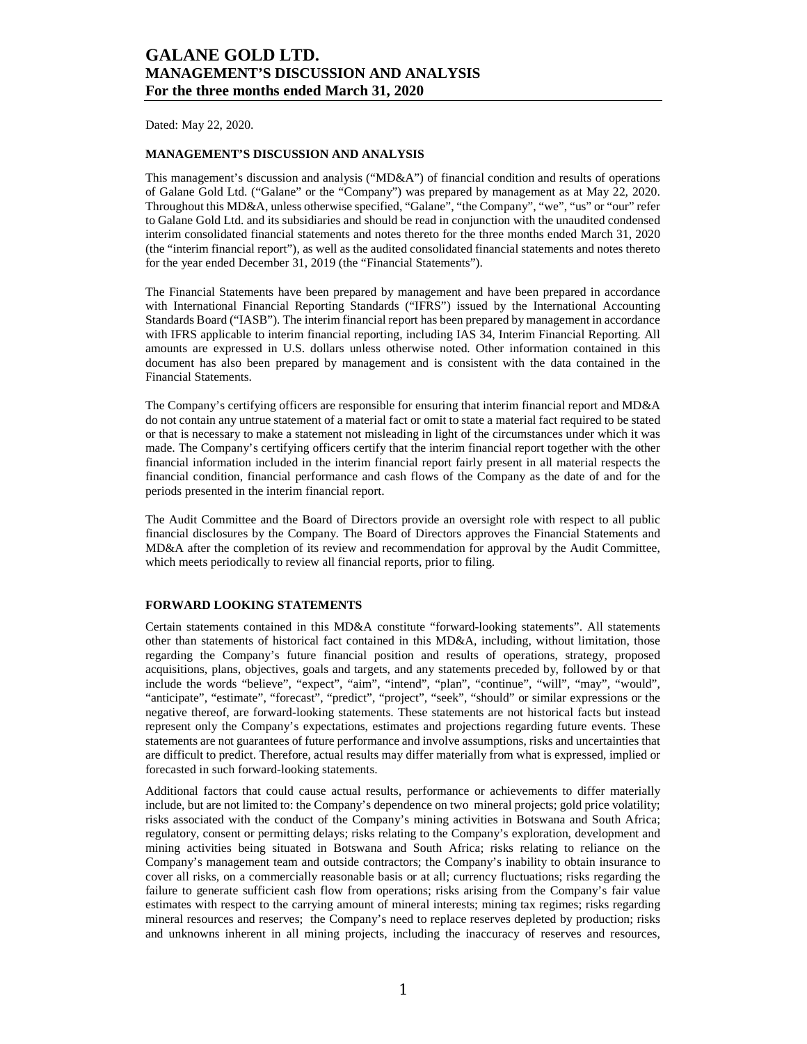Dated: May 22, 2020.

### **MANAGEMENT'S DISCUSSION AND ANALYSIS**

This management's discussion and analysis ("MD&A") of financial condition and results of operations of Galane Gold Ltd. ("Galane" or the "Company") was prepared by management as at May 22, 2020. Throughout this MD&A, unless otherwise specified, "Galane", "the Company", "we", "us" or "our" refer to Galane Gold Ltd. and its subsidiaries and should be read in conjunction with the unaudited condensed interim consolidated financial statements and notes thereto for the three months ended March 31, 2020 (the "interim financial report"), as well as the audited consolidated financial statements and notes thereto for the year ended December 31, 2019 (the "Financial Statements").

The Financial Statements have been prepared by management and have been prepared in accordance with International Financial Reporting Standards ("IFRS") issued by the International Accounting Standards Board ("IASB"). The interim financial report has been prepared by management in accordance with IFRS applicable to interim financial reporting, including IAS 34, Interim Financial Reporting. All amounts are expressed in U.S. dollars unless otherwise noted. Other information contained in this document has also been prepared by management and is consistent with the data contained in the Financial Statements.

The Company's certifying officers are responsible for ensuring that interim financial report and MD&A do not contain any untrue statement of a material fact or omit to state a material fact required to be stated or that is necessary to make a statement not misleading in light of the circumstances under which it was made. The Company's certifying officers certify that the interim financial report together with the other financial information included in the interim financial report fairly present in all material respects the financial condition, financial performance and cash flows of the Company as the date of and for the periods presented in the interim financial report.

The Audit Committee and the Board of Directors provide an oversight role with respect to all public financial disclosures by the Company. The Board of Directors approves the Financial Statements and MD&A after the completion of its review and recommendation for approval by the Audit Committee, which meets periodically to review all financial reports, prior to filing.

### **FORWARD LOOKING STATEMENTS**

Certain statements contained in this MD&A constitute "forward-looking statements". All statements other than statements of historical fact contained in this MD&A, including, without limitation, those regarding the Company's future financial position and results of operations, strategy, proposed acquisitions, plans, objectives, goals and targets, and any statements preceded by, followed by or that include the words "believe", "expect", "aim", "intend", "plan", "continue", "will", "may", "would", "anticipate", "estimate", "forecast", "predict", "project", "seek", "should" or similar expressions or the negative thereof, are forward-looking statements. These statements are not historical facts but instead represent only the Company's expectations, estimates and projections regarding future events. These statements are not guarantees of future performance and involve assumptions, risks and uncertainties that are difficult to predict. Therefore, actual results may differ materially from what is expressed, implied or forecasted in such forward-looking statements.

Additional factors that could cause actual results, performance or achievements to differ materially include, but are not limited to: the Company's dependence on two mineral projects; gold price volatility; risks associated with the conduct of the Company's mining activities in Botswana and South Africa; regulatory, consent or permitting delays; risks relating to the Company's exploration, development and mining activities being situated in Botswana and South Africa; risks relating to reliance on the Company's management team and outside contractors; the Company's inability to obtain insurance to cover all risks, on a commercially reasonable basis or at all; currency fluctuations; risks regarding the failure to generate sufficient cash flow from operations; risks arising from the Company's fair value estimates with respect to the carrying amount of mineral interests; mining tax regimes; risks regarding mineral resources and reserves; the Company's need to replace reserves depleted by production; risks and unknowns inherent in all mining projects, including the inaccuracy of reserves and resources,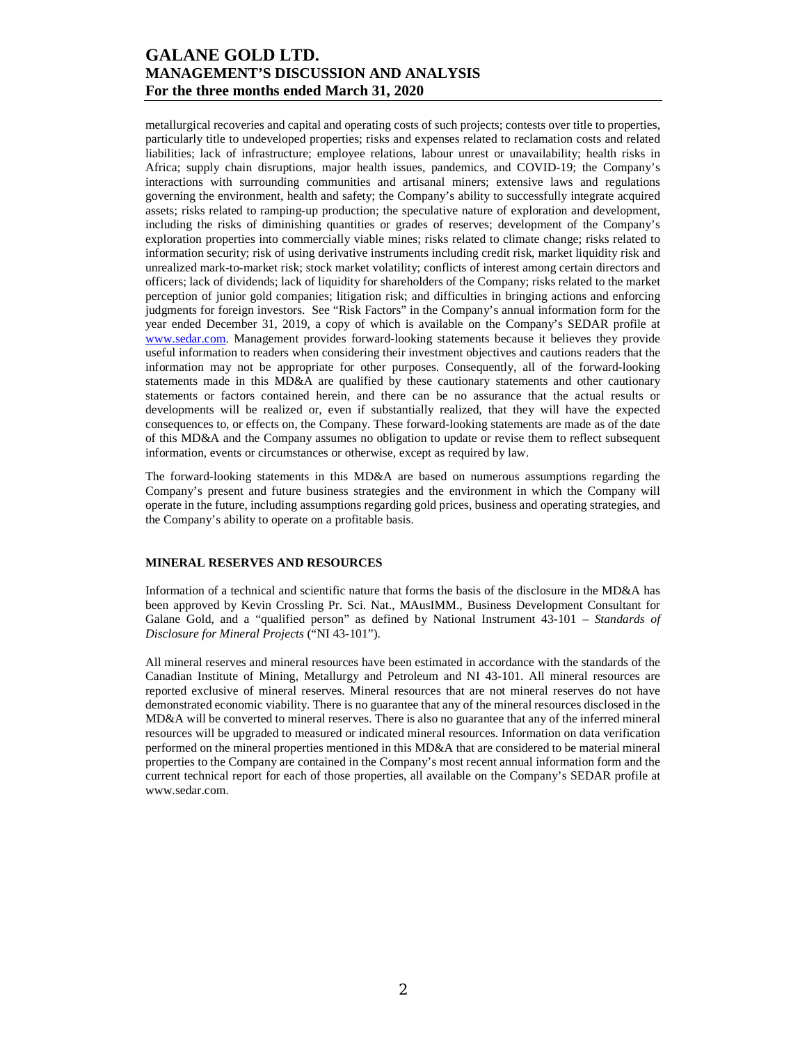metallurgical recoveries and capital and operating costs of such projects; contests over title to properties, particularly title to undeveloped properties; risks and expenses related to reclamation costs and related liabilities; lack of infrastructure; employee relations, labour unrest or unavailability; health risks in Africa; supply chain disruptions, major health issues, pandemics, and COVID-19; the Company's interactions with surrounding communities and artisanal miners; extensive laws and regulations governing the environment, health and safety; the Company's ability to successfully integrate acquired assets; risks related to ramping-up production; the speculative nature of exploration and development, including the risks of diminishing quantities or grades of reserves; development of the Company's exploration properties into commercially viable mines; risks related to climate change; risks related to information security; risk of using derivative instruments including credit risk, market liquidity risk and unrealized mark-to-market risk; stock market volatility; conflicts of interest among certain directors and officers; lack of dividends; lack of liquidity for shareholders of the Company; risks related to the market perception of junior gold companies; litigation risk; and difficulties in bringing actions and enforcing judgments for foreign investors. See "Risk Factors" in the Company's annual information form for the year ended December 31, 2019, a copy of which is available on the Company's SEDAR profile at www.sedar.com. Management provides forward-looking statements because it believes they provide useful information to readers when considering their investment objectives and cautions readers that the information may not be appropriate for other purposes. Consequently, all of the forward-looking statements made in this MD&A are qualified by these cautionary statements and other cautionary statements or factors contained herein, and there can be no assurance that the actual results or developments will be realized or, even if substantially realized, that they will have the expected consequences to, or effects on, the Company. These forward-looking statements are made as of the date of this MD&A and the Company assumes no obligation to update or revise them to reflect subsequent information, events or circumstances or otherwise, except as required by law.

The forward-looking statements in this MD&A are based on numerous assumptions regarding the Company's present and future business strategies and the environment in which the Company will operate in the future, including assumptions regarding gold prices, business and operating strategies, and the Company's ability to operate on a profitable basis.

### **MINERAL RESERVES AND RESOURCES**

Information of a technical and scientific nature that forms the basis of the disclosure in the MD&A has been approved by Kevin Crossling Pr. Sci. Nat., MAusIMM., Business Development Consultant for Galane Gold, and a "qualified person" as defined by National Instrument 43-101 – *Standards of Disclosure for Mineral Projects* ("NI 43-101").

All mineral reserves and mineral resources have been estimated in accordance with the standards of the Canadian Institute of Mining, Metallurgy and Petroleum and NI 43-101. All mineral resources are reported exclusive of mineral reserves. Mineral resources that are not mineral reserves do not have demonstrated economic viability. There is no guarantee that any of the mineral resources disclosed in the MD&A will be converted to mineral reserves. There is also no guarantee that any of the inferred mineral resources will be upgraded to measured or indicated mineral resources. Information on data verification performed on the mineral properties mentioned in this MD&A that are considered to be material mineral properties to the Company are contained in the Company's most recent annual information form and the current technical report for each of those properties, all available on the Company's SEDAR profile at www.sedar.com.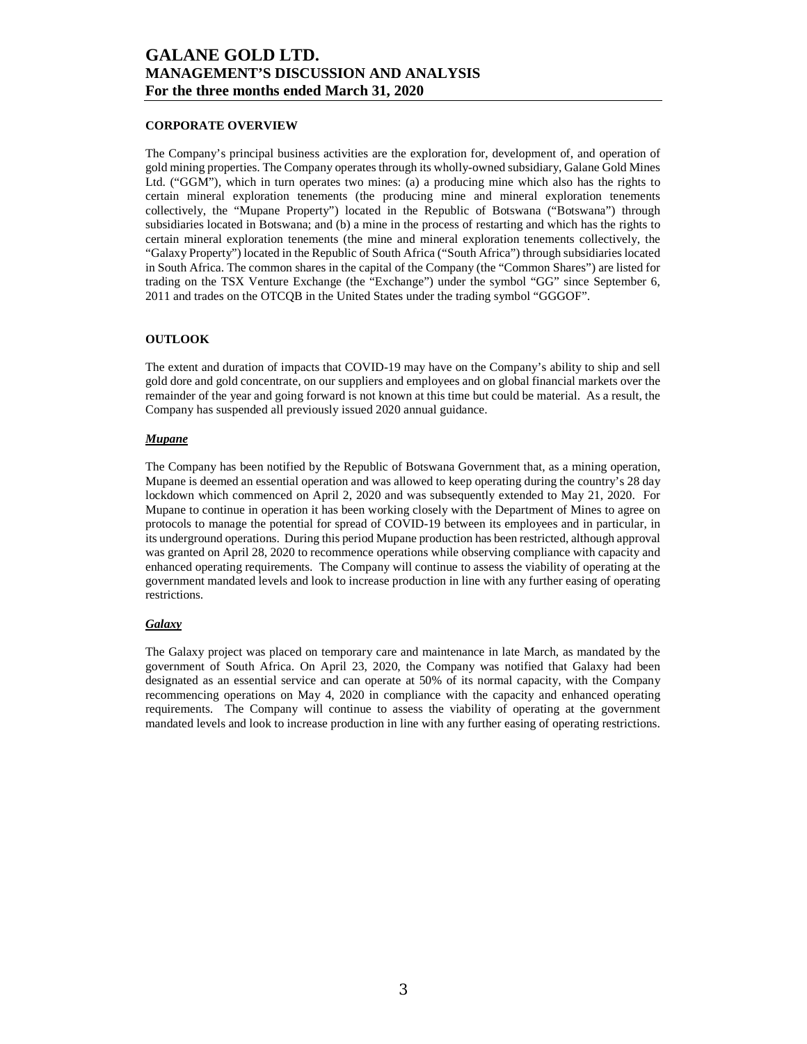### **CORPORATE OVERVIEW**

The Company's principal business activities are the exploration for, development of, and operation of gold mining properties. The Company operates through its wholly-owned subsidiary, Galane Gold Mines Ltd. ("GGM"), which in turn operates two mines: (a) a producing mine which also has the rights to certain mineral exploration tenements (the producing mine and mineral exploration tenements collectively, the "Mupane Property") located in the Republic of Botswana ("Botswana") through subsidiaries located in Botswana; and (b) a mine in the process of restarting and which has the rights to certain mineral exploration tenements (the mine and mineral exploration tenements collectively, the "Galaxy Property") located in the Republic of South Africa ("South Africa") through subsidiaries located in South Africa. The common shares in the capital of the Company (the "Common Shares") are listed for trading on the TSX Venture Exchange (the "Exchange") under the symbol "GG" since September 6, 2011 and trades on the OTCQB in the United States under the trading symbol "GGGOF".

#### **OUTLOOK**

The extent and duration of impacts that COVID-19 may have on the Company's ability to ship and sell gold dore and gold concentrate, on our suppliers and employees and on global financial markets over the remainder of the year and going forward is not known at this time but could be material. As a result, the Company has suspended all previously issued 2020 annual guidance.

#### *Mupane*

The Company has been notified by the Republic of Botswana Government that, as a mining operation, Mupane is deemed an essential operation and was allowed to keep operating during the country's 28 day lockdown which commenced on April 2, 2020 and was subsequently extended to May 21, 2020. For Mupane to continue in operation it has been working closely with the Department of Mines to agree on protocols to manage the potential for spread of COVID-19 between its employees and in particular, in its underground operations. During this period Mupane production has been restricted, although approval was granted on April 28, 2020 to recommence operations while observing compliance with capacity and enhanced operating requirements. The Company will continue to assess the viability of operating at the government mandated levels and look to increase production in line with any further easing of operating restrictions.

### *Galaxy*

The Galaxy project was placed on temporary care and maintenance in late March, as mandated by the government of South Africa. On April 23, 2020, the Company was notified that Galaxy had been designated as an essential service and can operate at 50% of its normal capacity, with the Company recommencing operations on May 4, 2020 in compliance with the capacity and enhanced operating requirements. The Company will continue to assess the viability of operating at the government mandated levels and look to increase production in line with any further easing of operating restrictions.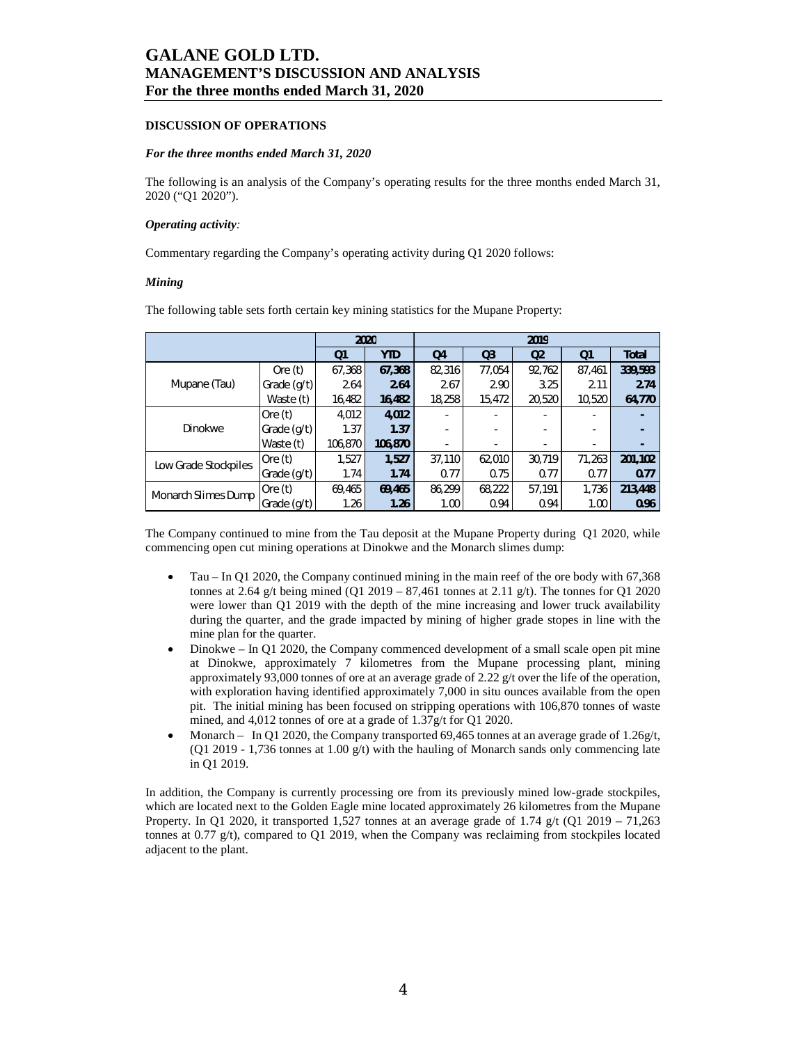#### **DISCUSSION OF OPERATIONS**

#### *For the three months ended March 31, 2020*

The following is an analysis of the Company's operating results for the three months ended March 31, 2020 ("Q1 2020").

#### *Operating activity:*

Commentary regarding the Company's operating activity during Q1 2020 follows:

#### *Mining*

The following table sets forth certain key mining statistics for the Mupane Property:

|                      |               |                | 2020       | 2019   |                |                |        |              |  |
|----------------------|---------------|----------------|------------|--------|----------------|----------------|--------|--------------|--|
|                      |               | Q <sub>1</sub> | <b>YTD</b> | Q4     | Q <sub>3</sub> | Q <sub>2</sub> | Q1     | <b>Total</b> |  |
|                      | Ore $(t)$     | 67,368         | 67,368     | 82,316 | 77,054         | 92,762         | 87,461 | 339,593      |  |
| Mupane (Tau)         | Grade $(q/t)$ | 2.64           | 2.64       | 2.67   | 2.90           | 3.25           | 2.11   | 2.74         |  |
|                      | Waste (t)     | 16,482         | 16,482     | 18,258 | 15,472         | 20,520         | 10,520 | 64,770       |  |
|                      | Ore $(t)$     | 4,012          | 4,012      |        |                |                |        |              |  |
| Dinokwe              | Grade (g/t)   | 1.37           | 1.37       |        |                |                |        |              |  |
|                      | Waste (t)     | 106,870        | 106,870    |        |                |                |        |              |  |
| Low Grade Stockpiles | Ore $(t)$     | 1,527          | 1,527      | 37,110 | 62,010         | 30,719         | 71,263 | 201,102      |  |
|                      | Grade (g/t)   | 1.74           | 1.74       | 0.77   | 0.75           | 0.77           | 0.77   | 0.77         |  |
| Monarch Slimes Dump  | Ore $(t)$     | 69,465         | 69,465     | 86,299 | 68,222         | 57,191         | 1,736  | 213,448      |  |
|                      | Grade (g/t)   | 1.26           | 1.26       | 1.00   | 0.94           | 0.94           | 1.00   | 0.96         |  |

The Company continued to mine from the Tau deposit at the Mupane Property during Q1 2020, while commencing open cut mining operations at Dinokwe and the Monarch slimes dump:

- Tau In Q1 2020, the Company continued mining in the main reef of the ore body with 67,368 tonnes at 2.64 g/t being mined (Q1 2019 – 87,461 tonnes at 2.11 g/t). The tonnes for Q1 2020 were lower than Q1 2019 with the depth of the mine increasing and lower truck availability during the quarter, and the grade impacted by mining of higher grade stopes in line with the mine plan for the quarter.
- Dinokwe In Q1 2020, the Company commenced development of a small scale open pit mine at Dinokwe, approximately 7 kilometres from the Mupane processing plant, mining approximately 93,000 tonnes of ore at an average grade of 2.22 g/t over the life of the operation, with exploration having identified approximately 7,000 in situ ounces available from the open pit. The initial mining has been focused on stripping operations with 106,870 tonnes of waste mined, and 4,012 tonnes of ore at a grade of 1.37g/t for Q1 2020.
- Monarch In Q1 2020, the Company transported 69,465 tonnes at an average grade of 1.26g/t, (Q1 2019 - 1,736 tonnes at 1.00  $g(t)$  with the hauling of Monarch sands only commencing late in Q1 2019.

In addition, the Company is currently processing ore from its previously mined low-grade stockpiles, which are located next to the Golden Eagle mine located approximately 26 kilometres from the Mupane Property. In Q1 2020, it transported 1,527 tonnes at an average grade of 1.74 g/t (Q1 2019 – 71,263) tonnes at 0.77  $g(t)$ , compared to Q1 2019, when the Company was reclaiming from stockpiles located adjacent to the plant.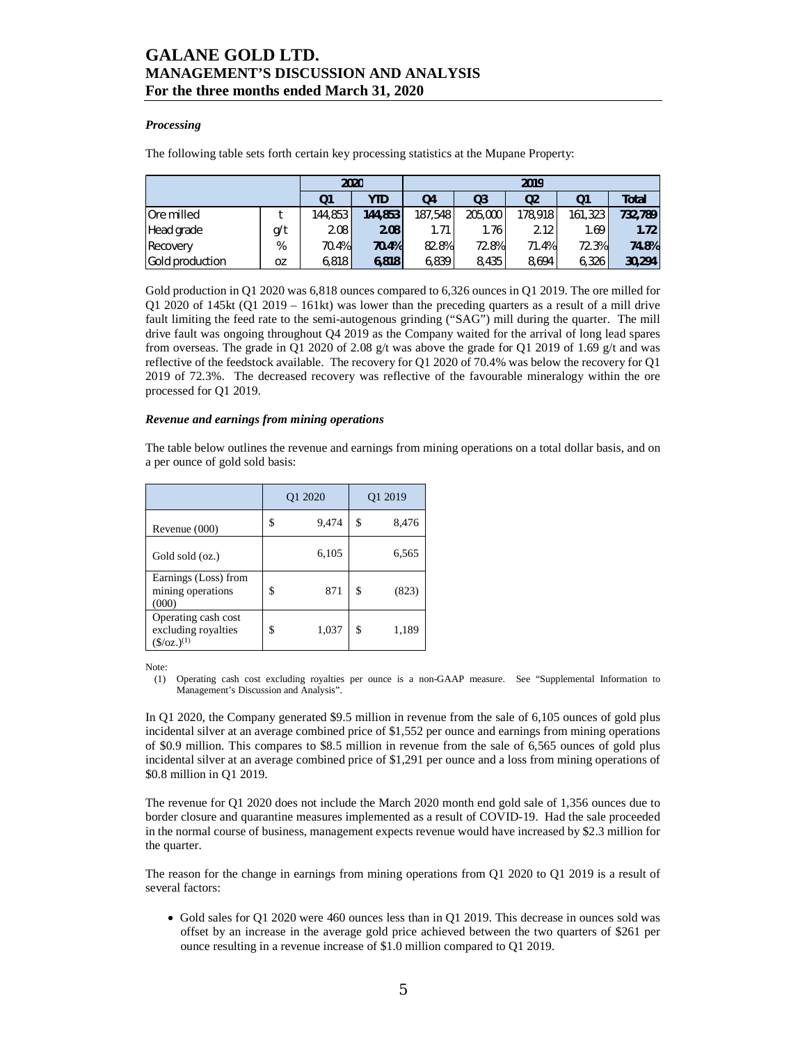### *Processing*

The following table sets forth certain key processing statistics at the Mupane Property:

| 2020            |           |          |         | 2019    |                |                |         |              |  |
|-----------------|-----------|----------|---------|---------|----------------|----------------|---------|--------------|--|
|                 |           | Q1       | YTD     | Q4      | Q <sub>3</sub> | Q <sub>2</sub> | Q1      | <b>Total</b> |  |
| Ore milled      |           | 144,853  | 144.853 | 187,548 | 205,000        | 178,918        | 161,323 | 732.789      |  |
| Head grade      | g/t       | 2.08     | 2.08    | 1.71    | 1.76           | 2.12           | 1.69    | 1.72         |  |
| Recovery        | %         | $70.4\%$ | 70.4%   | 82.8%   | 72.8%          | 71.4%          | 72.3%   | <b>74.8%</b> |  |
| Gold production | <b>OZ</b> | 6,818    | 6.818   | 6,839   | 8,435          | 8.694          | 6.326   | 30.294       |  |

Gold production in Q1 2020 was 6,818 ounces compared to 6,326 ounces in Q1 2019. The ore milled for Q1 2020 of 145kt (Q1 2019 – 161kt) was lower than the preceding quarters as a result of a mill drive fault limiting the feed rate to the semi-autogenous grinding ("SAG") mill during the quarter. The mill drive fault was ongoing throughout Q4 2019 as the Company waited for the arrival of long lead spares from overseas. The grade in Q1 2020 of 2.08 g/t was above the grade for Q1 2019 of 1.69 g/t and was reflective of the feedstock available. The recovery for Q1 2020 of 70.4% was below the recovery for Q1 2019 of 72.3%. The decreased recovery was reflective of the favourable mineralogy within the ore processed for Q1 2019.

#### *Revenue and earnings from mining operations*

The table below outlines the revenue and earnings from mining operations on a total dollar basis, and on a per ounce of gold sold basis:

|                                                                        |    | Q1 2020 | Q1 2019 |       |  |
|------------------------------------------------------------------------|----|---------|---------|-------|--|
| Revenue (000)                                                          | S  | 9,474   | \$      | 8,476 |  |
| Gold sold (oz.)                                                        |    | 6,105   |         | 6,565 |  |
| Earnings (Loss) from<br>mining operations<br>(000)                     | \$ | 871     | \$      | (823) |  |
| Operating cash cost<br>excluding royalties<br>$(\frac{\xi}{oz})^{(1)}$ | S  | 1,037   | \$      | 1,189 |  |

Note:

(1) Operating cash cost excluding royalties per ounce is a non-GAAP measure. See "Supplemental Information to Management's Discussion and Analysis".

In Q1 2020, the Company generated \$9.5 million in revenue from the sale of 6,105 ounces of gold plus incidental silver at an average combined price of \$1,552 per ounce and earnings from mining operations of \$0.9 million. This compares to \$8.5 million in revenue from the sale of 6,565 ounces of gold plus incidental silver at an average combined price of \$1,291 per ounce and a loss from mining operations of \$0.8 million in Q1 2019.

The revenue for Q1 2020 does not include the March 2020 month end gold sale of 1,356 ounces due to border closure and quarantine measures implemented as a result of COVID-19. Had the sale proceeded in the normal course of business, management expects revenue would have increased by \$2.3 million for the quarter.

The reason for the change in earnings from mining operations from Q1 2020 to Q1 2019 is a result of several factors:

• Gold sales for Q1 2020 were 460 ounces less than in Q1 2019. This decrease in ounces sold was offset by an increase in the average gold price achieved between the two quarters of \$261 per ounce resulting in a revenue increase of \$1.0 million compared to Q1 2019.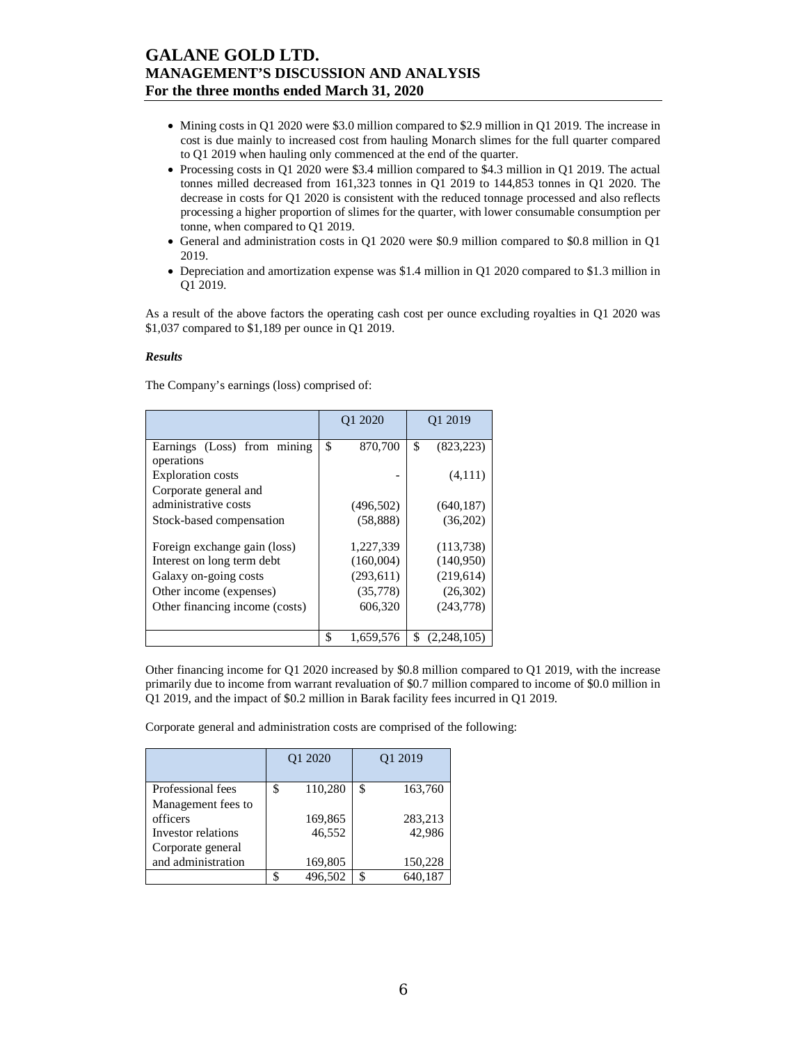- Mining costs in Q1 2020 were \$3.0 million compared to \$2.9 million in Q1 2019. The increase in cost is due mainly to increased cost from hauling Monarch slimes for the full quarter compared to Q1 2019 when hauling only commenced at the end of the quarter.
- Processing costs in Q1 2020 were \$3.4 million compared to \$4.3 million in Q1 2019. The actual tonnes milled decreased from 161,323 tonnes in Q1 2019 to 144,853 tonnes in Q1 2020. The decrease in costs for Q1 2020 is consistent with the reduced tonnage processed and also reflects processing a higher proportion of slimes for the quarter, with lower consumable consumption per tonne, when compared to Q1 2019.
- General and administration costs in Q1 2020 were \$0.9 million compared to \$0.8 million in Q1 2019.
- Depreciation and amortization expense was \$1.4 million in Q1 2020 compared to \$1.3 million in Q1 2019.

As a result of the above factors the operating cash cost per ounce excluding royalties in Q1 2020 was \$1,037 compared to \$1,189 per ounce in Q1 2019.

#### *Results*

The Company's earnings (loss) comprised of:

|                                                   |     | O <sub>1</sub> 2020 | O <sub>1</sub> 2019 |
|---------------------------------------------------|-----|---------------------|---------------------|
| Earnings (Loss) from mining<br>operations         | \$  | 870,700             | \$<br>(823, 223)    |
| <b>Exploration costs</b><br>Corporate general and |     |                     | (4,111)             |
| administrative costs                              |     | (496, 502)          | (640, 187)          |
| Stock-based compensation                          |     | (58, 888)           | (36,202)            |
| Foreign exchange gain (loss)                      |     | 1,227,339           | (113, 738)          |
| Interest on long term debt                        |     | (160,004)           | (140,950)           |
| Galaxy on-going costs                             |     | (293, 611)          | (219,614)           |
| Other income (expenses)                           |     | (35,778)            | (26,302)            |
| Other financing income (costs)                    |     | 606,320             | (243,778)           |
|                                                   | \$. | 1,659,576           | \$<br>(2.248.105)   |

Other financing income for Q1 2020 increased by \$0.8 million compared to Q1 2019, with the increase primarily due to income from warrant revaluation of \$0.7 million compared to income of \$0.0 million in Q1 2019, and the impact of \$0.2 million in Barak facility fees incurred in Q1 2019.

Corporate general and administration costs are comprised of the following:

|                                                                           | Q1 2020 |                   | O <sub>1</sub> 2019 |
|---------------------------------------------------------------------------|---------|-------------------|---------------------|
| Professional fees                                                         | \$      | 110,280           | \$<br>163,760       |
| Management fees to<br>officers<br>Investor relations<br>Corporate general |         | 169,865<br>46,552 | 283,213<br>42.986   |
| and administration                                                        |         | 169,805           | 150,228             |
|                                                                           | ፍ       | 496.502           | \$<br>640,187       |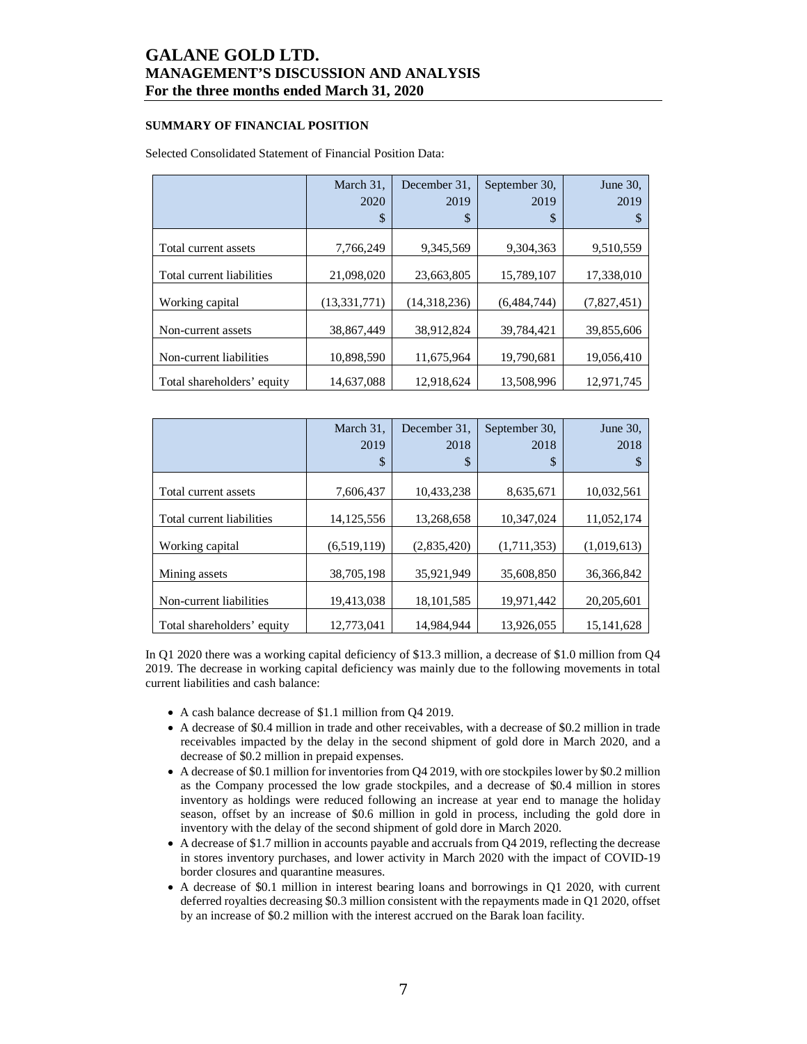### **SUMMARY OF FINANCIAL POSITION**

#### Selected Consolidated Statement of Financial Position Data:

|                            | March 31,<br>2020<br>\$ | December 31.<br>2019<br>\$ | September 30,<br>2019<br>\$ | June $30$ .<br>2019<br>S |
|----------------------------|-------------------------|----------------------------|-----------------------------|--------------------------|
|                            |                         |                            |                             |                          |
| Total current assets       | 7,766,249               | 9,345,569                  | 9,304,363                   | 9,510,559                |
| Total current liabilities  | 21,098,020              | 23,663,805                 | 15,789,107                  | 17,338,010               |
| Working capital            | (13, 331, 771)          | (14,318,236)               | (6,484,744)                 | (7,827,451)              |
| Non-current assets         | 38,867,449              | 38,912,824                 | 39,784,421                  | 39,855,606               |
| Non-current liabilities    | 10,898,590              | 11,675,964                 | 19,790,681                  | 19,056,410               |
| Total shareholders' equity | 14,637,088              | 12,918,624                 | 13,508,996                  | 12,971,745               |

|                            | March 31,    | December 31. | September 30, | June $30$ . |
|----------------------------|--------------|--------------|---------------|-------------|
|                            | 2019         | 2018         | 2018          | 2018        |
|                            | \$           | \$           | \$            | S           |
|                            |              |              |               |             |
| Total current assets       | 7,606,437    | 10,433,238   | 8,635,671     | 10,032,561  |
| Total current liabilities  | 14, 125, 556 | 13,268,658   | 10.347.024    | 11,052,174  |
|                            |              |              |               |             |
| Working capital            | (6,519,119)  | (2,835,420)  | (1,711,353)   | (1,019,613) |
| Mining assets              | 38,705,198   | 35.921.949   | 35,608,850    | 36.366.842  |
| Non-current liabilities    | 19,413,038   | 18, 101, 585 | 19.971.442    | 20,205,601  |
|                            |              |              |               |             |
| Total shareholders' equity | 12,773,041   | 14.984.944   | 13.926.055    | 15.141.628  |

In Q1 2020 there was a working capital deficiency of \$13.3 million, a decrease of \$1.0 million from Q4 2019. The decrease in working capital deficiency was mainly due to the following movements in total current liabilities and cash balance:

- A cash balance decrease of \$1.1 million from Q4 2019.
- A decrease of \$0.4 million in trade and other receivables, with a decrease of \$0.2 million in trade receivables impacted by the delay in the second shipment of gold dore in March 2020, and a decrease of \$0.2 million in prepaid expenses.
- A decrease of \$0.1 million for inventories from Q4 2019, with ore stockpiles lower by \$0.2 million as the Company processed the low grade stockpiles, and a decrease of \$0.4 million in stores inventory as holdings were reduced following an increase at year end to manage the holiday season, offset by an increase of \$0.6 million in gold in process, including the gold dore in inventory with the delay of the second shipment of gold dore in March 2020.
- A decrease of \$1.7 million in accounts payable and accruals from Q4 2019, reflecting the decrease in stores inventory purchases, and lower activity in March 2020 with the impact of COVID-19 border closures and quarantine measures.
- A decrease of \$0.1 million in interest bearing loans and borrowings in Q1 2020, with current deferred royalties decreasing \$0.3 million consistent with the repayments made in Q1 2020, offset by an increase of \$0.2 million with the interest accrued on the Barak loan facility.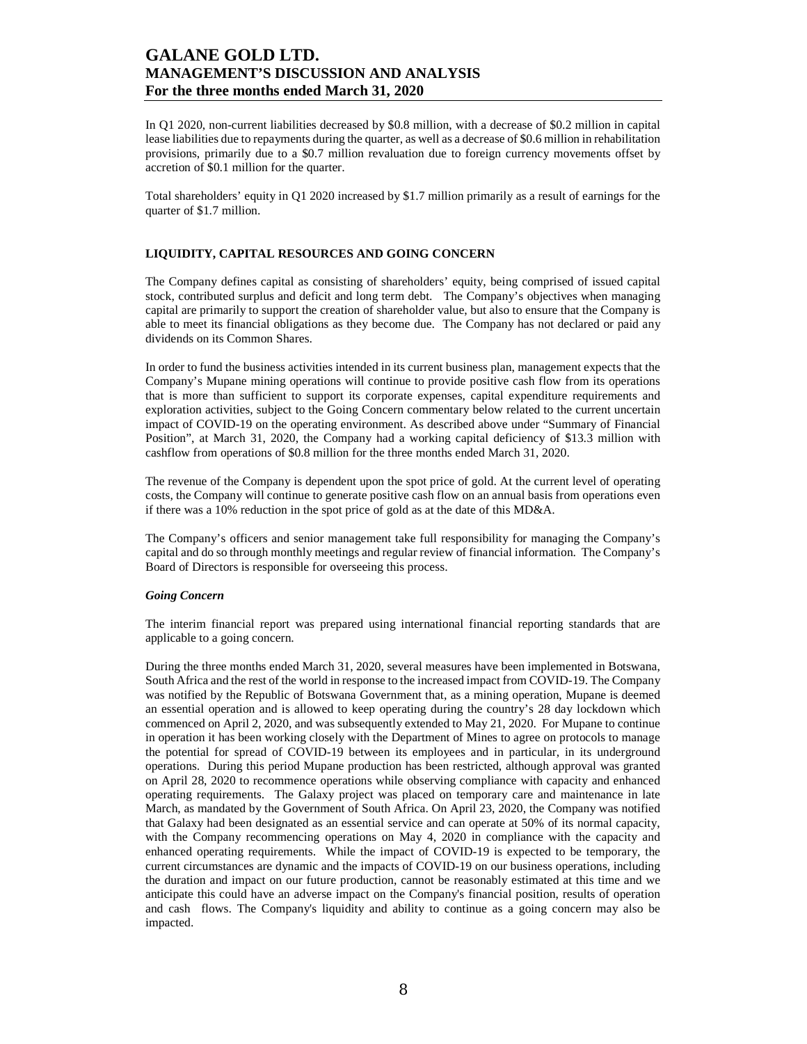In Q1 2020, non-current liabilities decreased by \$0.8 million, with a decrease of \$0.2 million in capital lease liabilities due to repayments during the quarter, as well as a decrease of \$0.6 million in rehabilitation provisions, primarily due to a \$0.7 million revaluation due to foreign currency movements offset by accretion of \$0.1 million for the quarter.

Total shareholders' equity in Q1 2020 increased by \$1.7 million primarily as a result of earnings for the quarter of \$1.7 million.

### **LIQUIDITY, CAPITAL RESOURCES AND GOING CONCERN**

The Company defines capital as consisting of shareholders' equity, being comprised of issued capital stock, contributed surplus and deficit and long term debt. The Company's objectives when managing capital are primarily to support the creation of shareholder value, but also to ensure that the Company is able to meet its financial obligations as they become due. The Company has not declared or paid any dividends on its Common Shares.

In order to fund the business activities intended in its current business plan, management expects that the Company's Mupane mining operations will continue to provide positive cash flow from its operations that is more than sufficient to support its corporate expenses, capital expenditure requirements and exploration activities, subject to the Going Concern commentary below related to the current uncertain impact of COVID-19 on the operating environment. As described above under "Summary of Financial Position", at March 31, 2020, the Company had a working capital deficiency of \$13.3 million with cashflow from operations of \$0.8 million for the three months ended March 31, 2020.

The revenue of the Company is dependent upon the spot price of gold. At the current level of operating costs, the Company will continue to generate positive cash flow on an annual basis from operations even if there was a 10% reduction in the spot price of gold as at the date of this MD&A.

The Company's officers and senior management take full responsibility for managing the Company's capital and do so through monthly meetings and regular review of financial information. The Company's Board of Directors is responsible for overseeing this process.

### *Going Concern*

The interim financial report was prepared using international financial reporting standards that are applicable to a going concern.

During the three months ended March 31, 2020, several measures have been implemented in Botswana, South Africa and the rest of the world in response to the increased impact from COVID-19. The Company was notified by the Republic of Botswana Government that, as a mining operation, Mupane is deemed an essential operation and is allowed to keep operating during the country's 28 day lockdown which commenced on April 2, 2020, and was subsequently extended to May 21, 2020. For Mupane to continue in operation it has been working closely with the Department of Mines to agree on protocols to manage the potential for spread of COVID-19 between its employees and in particular, in its underground operations. During this period Mupane production has been restricted, although approval was granted on April 28, 2020 to recommence operations while observing compliance with capacity and enhanced operating requirements. The Galaxy project was placed on temporary care and maintenance in late March, as mandated by the Government of South Africa. On April 23, 2020, the Company was notified that Galaxy had been designated as an essential service and can operate at 50% of its normal capacity, with the Company recommencing operations on May 4, 2020 in compliance with the capacity and enhanced operating requirements. While the impact of COVID-19 is expected to be temporary, the current circumstances are dynamic and the impacts of COVID-19 on our business operations, including the duration and impact on our future production, cannot be reasonably estimated at this time and we anticipate this could have an adverse impact on the Company's financial position, results of operation and cash flows. The Company's liquidity and ability to continue as a going concern may also be impacted.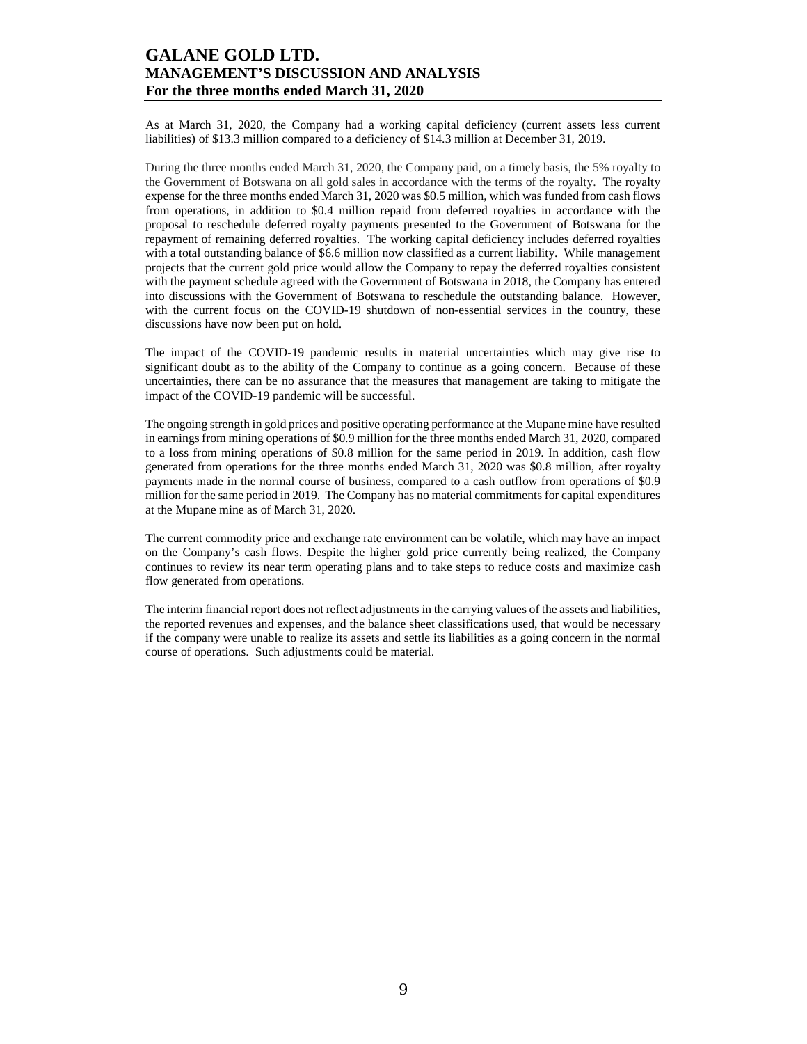As at March 31, 2020, the Company had a working capital deficiency (current assets less current liabilities) of \$13.3 million compared to a deficiency of \$14.3 million at December 31, 2019.

During the three months ended March 31, 2020, the Company paid, on a timely basis, the 5% royalty to the Government of Botswana on all gold sales in accordance with the terms of the royalty. The royalty expense for the three months ended March 31, 2020 was \$0.5 million, which was funded from cash flows from operations, in addition to \$0.4 million repaid from deferred royalties in accordance with the proposal to reschedule deferred royalty payments presented to the Government of Botswana for the repayment of remaining deferred royalties. The working capital deficiency includes deferred royalties with a total outstanding balance of \$6.6 million now classified as a current liability. While management projects that the current gold price would allow the Company to repay the deferred royalties consistent with the payment schedule agreed with the Government of Botswana in 2018, the Company has entered into discussions with the Government of Botswana to reschedule the outstanding balance. However, with the current focus on the COVID-19 shutdown of non-essential services in the country, these discussions have now been put on hold.

The impact of the COVID-19 pandemic results in material uncertainties which may give rise to significant doubt as to the ability of the Company to continue as a going concern. Because of these uncertainties, there can be no assurance that the measures that management are taking to mitigate the impact of the COVID-19 pandemic will be successful.

The ongoing strength in gold prices and positive operating performance at the Mupane mine have resulted in earnings from mining operations of \$0.9 million for the three months ended March 31, 2020, compared to a loss from mining operations of \$0.8 million for the same period in 2019. In addition, cash flow generated from operations for the three months ended March 31, 2020 was \$0.8 million, after royalty payments made in the normal course of business, compared to a cash outflow from operations of \$0.9 million for the same period in 2019. The Company has no material commitments for capital expenditures at the Mupane mine as of March 31, 2020.

The current commodity price and exchange rate environment can be volatile, which may have an impact on the Company's cash flows. Despite the higher gold price currently being realized, the Company continues to review its near term operating plans and to take steps to reduce costs and maximize cash flow generated from operations.

The interim financial report does not reflect adjustments in the carrying values of the assets and liabilities, the reported revenues and expenses, and the balance sheet classifications used, that would be necessary if the company were unable to realize its assets and settle its liabilities as a going concern in the normal course of operations. Such adjustments could be material.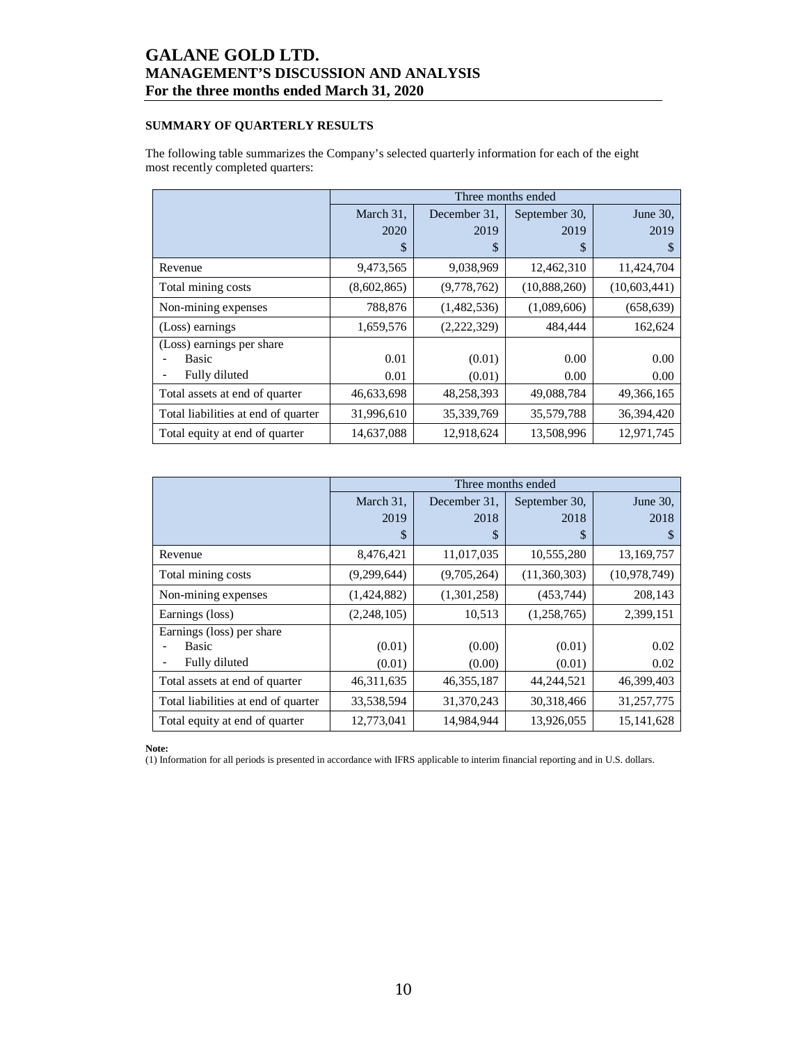### **SUMMARY OF QUARTERLY RESULTS**

The following table summarizes the Company's selected quarterly information for each of the eight most recently completed quarters:

|                                     |             | Three months ended |               |              |  |  |  |  |  |
|-------------------------------------|-------------|--------------------|---------------|--------------|--|--|--|--|--|
|                                     | March 31,   | December 31.       | September 30, | June 30.     |  |  |  |  |  |
|                                     | 2020        | 2019               | 2019          | 2019         |  |  |  |  |  |
|                                     | S           | \$                 | S             | \$           |  |  |  |  |  |
| Revenue                             | 9,473,565   | 9,038,969          | 12,462,310    | 11,424,704   |  |  |  |  |  |
| Total mining costs                  | (8,602,865) | (9,778,762)        | (10,888,260)  | (10,603,441) |  |  |  |  |  |
| Non-mining expenses                 | 788,876     | (1,482,536)        | (1,089,606)   | (658, 639)   |  |  |  |  |  |
| (Loss) earnings                     | 1,659,576   | (2, 222, 329)      | 484,444       | 162,624      |  |  |  |  |  |
| (Loss) earnings per share           |             |                    |               |              |  |  |  |  |  |
| Basic                               | 0.01        | (0.01)             | 0.00          | 0.00         |  |  |  |  |  |
| Fully diluted                       | 0.01        | (0.01)             | 0.00          | 0.00         |  |  |  |  |  |
| Total assets at end of quarter      | 46,633,698  | 48,258,393         | 49,088,784    | 49,366,165   |  |  |  |  |  |
| Total liabilities at end of quarter | 31,996,610  | 35,339,769         | 35,579,788    | 36,394,420   |  |  |  |  |  |
| Total equity at end of quarter      | 14,637,088  | 12,918,624         | 13,508,996    | 12,971,745   |  |  |  |  |  |

|                                     | Three months ended |              |               |                |  |  |  |  |
|-------------------------------------|--------------------|--------------|---------------|----------------|--|--|--|--|
|                                     | March 31,          | December 31. | September 30, | June 30,       |  |  |  |  |
|                                     | 2019               | 2018         | 2018          | 2018           |  |  |  |  |
|                                     | \$                 | \$           | \$            | S              |  |  |  |  |
| Revenue                             | 8,476,421          | 11,017,035   | 10,555,280    | 13,169,757     |  |  |  |  |
| Total mining costs                  | (9,299,644)        | (9,705,264)  | (11,360,303)  | (10, 978, 749) |  |  |  |  |
| Non-mining expenses                 | (1,424,882)        | (1,301,258)  | (453, 744)    | 208,143        |  |  |  |  |
| Earnings (loss)                     | (2, 248, 105)      | 10,513       | (1,258,765)   | 2,399,151      |  |  |  |  |
| Earnings (loss) per share           |                    |              |               |                |  |  |  |  |
| Basic                               | (0.01)             | (0.00)       | (0.01)        | 0.02           |  |  |  |  |
| Fully diluted                       | (0.01)             | (0.00)       | (0.01)        | 0.02           |  |  |  |  |
| Total assets at end of quarter      | 46, 311, 635       | 46, 355, 187 | 44,244,521    | 46,399,403     |  |  |  |  |
| Total liabilities at end of quarter | 33,538,594         | 31,370,243   | 30,318,466    | 31,257,775     |  |  |  |  |
| Total equity at end of quarter      | 12,773,041         | 14,984,944   | 13,926,055    | 15, 141, 628   |  |  |  |  |

**Note:** 

(1) Information for all periods is presented in accordance with IFRS applicable to interim financial reporting and in U.S. dollars.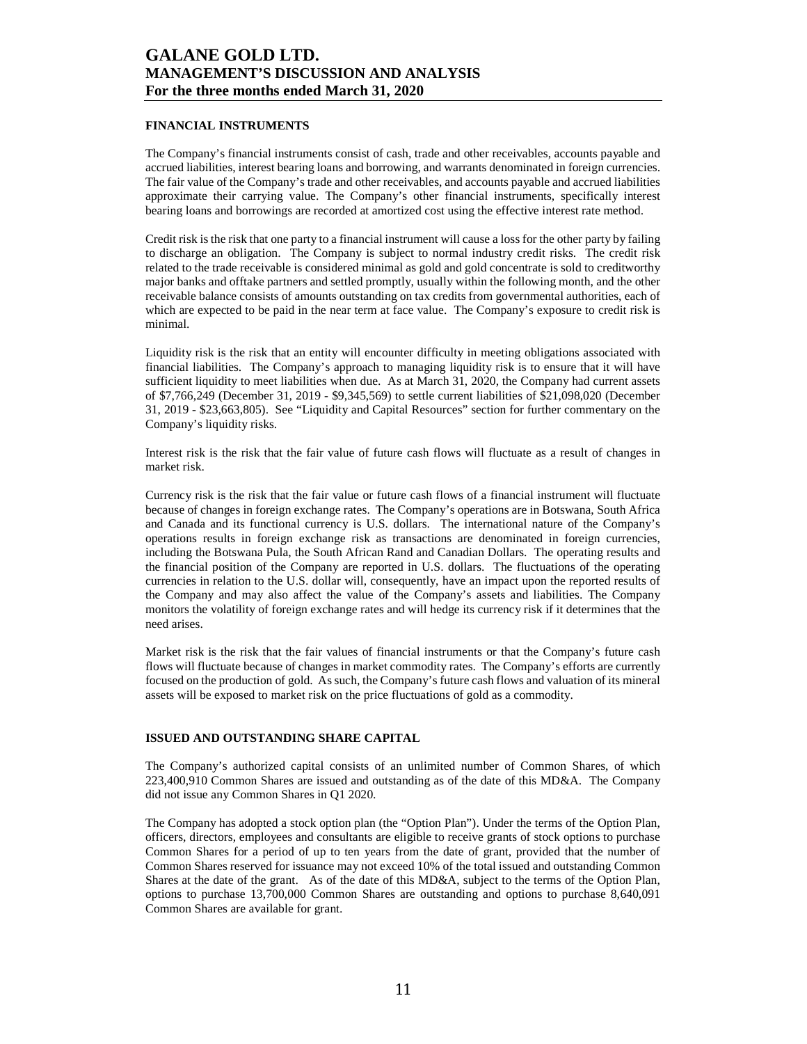### **FINANCIAL INSTRUMENTS**

The Company's financial instruments consist of cash, trade and other receivables, accounts payable and accrued liabilities, interest bearing loans and borrowing, and warrants denominated in foreign currencies. The fair value of the Company's trade and other receivables, and accounts payable and accrued liabilities approximate their carrying value. The Company's other financial instruments, specifically interest bearing loans and borrowings are recorded at amortized cost using the effective interest rate method.

Credit risk is the risk that one party to a financial instrument will cause a loss for the other party by failing to discharge an obligation. The Company is subject to normal industry credit risks. The credit risk related to the trade receivable is considered minimal as gold and gold concentrate is sold to creditworthy major banks and offtake partners and settled promptly, usually within the following month, and the other receivable balance consists of amounts outstanding on tax credits from governmental authorities, each of which are expected to be paid in the near term at face value. The Company's exposure to credit risk is minimal.

Liquidity risk is the risk that an entity will encounter difficulty in meeting obligations associated with financial liabilities. The Company's approach to managing liquidity risk is to ensure that it will have sufficient liquidity to meet liabilities when due. As at March 31, 2020, the Company had current assets of \$7,766,249 (December 31, 2019 - \$9,345,569) to settle current liabilities of \$21,098,020 (December 31, 2019 - \$23,663,805). See "Liquidity and Capital Resources" section for further commentary on the Company's liquidity risks.

Interest risk is the risk that the fair value of future cash flows will fluctuate as a result of changes in market risk.

Currency risk is the risk that the fair value or future cash flows of a financial instrument will fluctuate because of changes in foreign exchange rates. The Company's operations are in Botswana, South Africa and Canada and its functional currency is U.S. dollars. The international nature of the Company's operations results in foreign exchange risk as transactions are denominated in foreign currencies, including the Botswana Pula, the South African Rand and Canadian Dollars. The operating results and the financial position of the Company are reported in U.S. dollars. The fluctuations of the operating currencies in relation to the U.S. dollar will, consequently, have an impact upon the reported results of the Company and may also affect the value of the Company's assets and liabilities. The Company monitors the volatility of foreign exchange rates and will hedge its currency risk if it determines that the need arises.

Market risk is the risk that the fair values of financial instruments or that the Company's future cash flows will fluctuate because of changes in market commodity rates. The Company's efforts are currently focused on the production of gold. As such, the Company's future cash flows and valuation of its mineral assets will be exposed to market risk on the price fluctuations of gold as a commodity.

### **ISSUED AND OUTSTANDING SHARE CAPITAL**

The Company's authorized capital consists of an unlimited number of Common Shares, of which 223,400,910 Common Shares are issued and outstanding as of the date of this MD&A. The Company did not issue any Common Shares in Q1 2020.

The Company has adopted a stock option plan (the "Option Plan"). Under the terms of the Option Plan, officers, directors, employees and consultants are eligible to receive grants of stock options to purchase Common Shares for a period of up to ten years from the date of grant, provided that the number of Common Shares reserved for issuance may not exceed 10% of the total issued and outstanding Common Shares at the date of the grant. As of the date of this MD&A, subject to the terms of the Option Plan, options to purchase 13,700,000 Common Shares are outstanding and options to purchase 8,640,091 Common Shares are available for grant.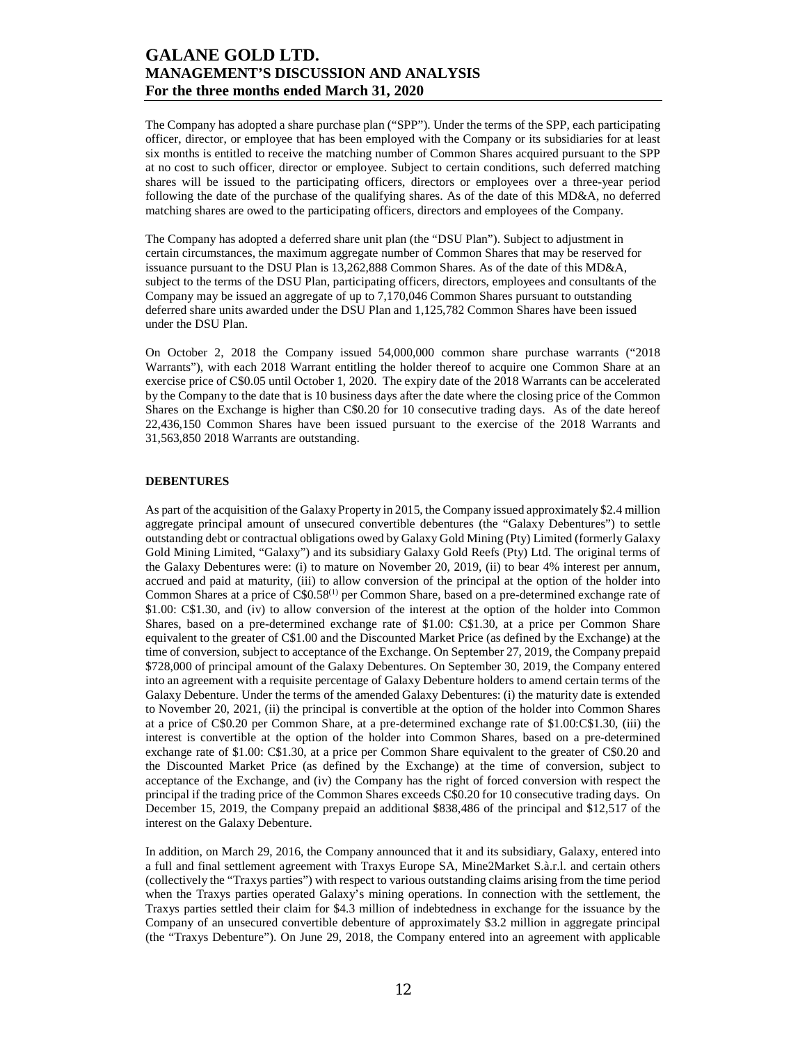The Company has adopted a share purchase plan ("SPP"). Under the terms of the SPP, each participating officer, director, or employee that has been employed with the Company or its subsidiaries for at least six months is entitled to receive the matching number of Common Shares acquired pursuant to the SPP at no cost to such officer, director or employee. Subject to certain conditions, such deferred matching shares will be issued to the participating officers, directors or employees over a three-year period following the date of the purchase of the qualifying shares. As of the date of this MD&A, no deferred matching shares are owed to the participating officers, directors and employees of the Company.

The Company has adopted a deferred share unit plan (the "DSU Plan"). Subject to adjustment in certain circumstances, the maximum aggregate number of Common Shares that may be reserved for issuance pursuant to the DSU Plan is 13,262,888 Common Shares. As of the date of this MD&A, subject to the terms of the DSU Plan, participating officers, directors, employees and consultants of the Company may be issued an aggregate of up to 7,170,046 Common Shares pursuant to outstanding deferred share units awarded under the DSU Plan and 1,125,782 Common Shares have been issued under the DSU Plan.

On October 2, 2018 the Company issued 54,000,000 common share purchase warrants ("2018 Warrants"), with each 2018 Warrant entitling the holder thereof to acquire one Common Share at an exercise price of C\$0.05 until October 1, 2020. The expiry date of the 2018 Warrants can be accelerated by the Company to the date that is 10 business days after the date where the closing price of the Common Shares on the Exchange is higher than C\$0.20 for 10 consecutive trading days. As of the date hereof 22,436,150 Common Shares have been issued pursuant to the exercise of the 2018 Warrants and 31,563,850 2018 Warrants are outstanding.

### **DEBENTURES**

As part of the acquisition of the Galaxy Property in 2015, the Company issued approximately \$2.4 million aggregate principal amount of unsecured convertible debentures (the "Galaxy Debentures") to settle outstanding debt or contractual obligations owed by Galaxy Gold Mining (Pty) Limited (formerly Galaxy Gold Mining Limited, "Galaxy") and its subsidiary Galaxy Gold Reefs (Pty) Ltd. The original terms of the Galaxy Debentures were: (i) to mature on November 20, 2019, (ii) to bear 4% interest per annum, accrued and paid at maturity, (iii) to allow conversion of the principal at the option of the holder into Common Shares at a price of C\$0.58(1) per Common Share, based on a pre-determined exchange rate of \$1.00: C\$1.30, and (iv) to allow conversion of the interest at the option of the holder into Common Shares, based on a pre-determined exchange rate of \$1.00: C\$1.30, at a price per Common Share equivalent to the greater of C\$1.00 and the Discounted Market Price (as defined by the Exchange) at the time of conversion, subject to acceptance of the Exchange. On September 27, 2019, the Company prepaid \$728,000 of principal amount of the Galaxy Debentures. On September 30, 2019, the Company entered into an agreement with a requisite percentage of Galaxy Debenture holders to amend certain terms of the Galaxy Debenture. Under the terms of the amended Galaxy Debentures: (i) the maturity date is extended to November 20, 2021, (ii) the principal is convertible at the option of the holder into Common Shares at a price of C\$0.20 per Common Share, at a pre-determined exchange rate of \$1.00:C\$1.30, (iii) the interest is convertible at the option of the holder into Common Shares, based on a pre-determined exchange rate of \$1.00: C\$1.30, at a price per Common Share equivalent to the greater of C\$0.20 and the Discounted Market Price (as defined by the Exchange) at the time of conversion, subject to acceptance of the Exchange, and (iv) the Company has the right of forced conversion with respect the principal if the trading price of the Common Shares exceeds C\$0.20 for 10 consecutive trading days. On December 15, 2019, the Company prepaid an additional \$838,486 of the principal and \$12,517 of the interest on the Galaxy Debenture.

In addition, on March 29, 2016, the Company announced that it and its subsidiary, Galaxy, entered into a full and final settlement agreement with Traxys Europe SA, Mine2Market S.à.r.l. and certain others (collectively the "Traxys parties") with respect to various outstanding claims arising from the time period when the Traxys parties operated Galaxy's mining operations. In connection with the settlement, the Traxys parties settled their claim for \$4.3 million of indebtedness in exchange for the issuance by the Company of an unsecured convertible debenture of approximately \$3.2 million in aggregate principal (the "Traxys Debenture"). On June 29, 2018, the Company entered into an agreement with applicable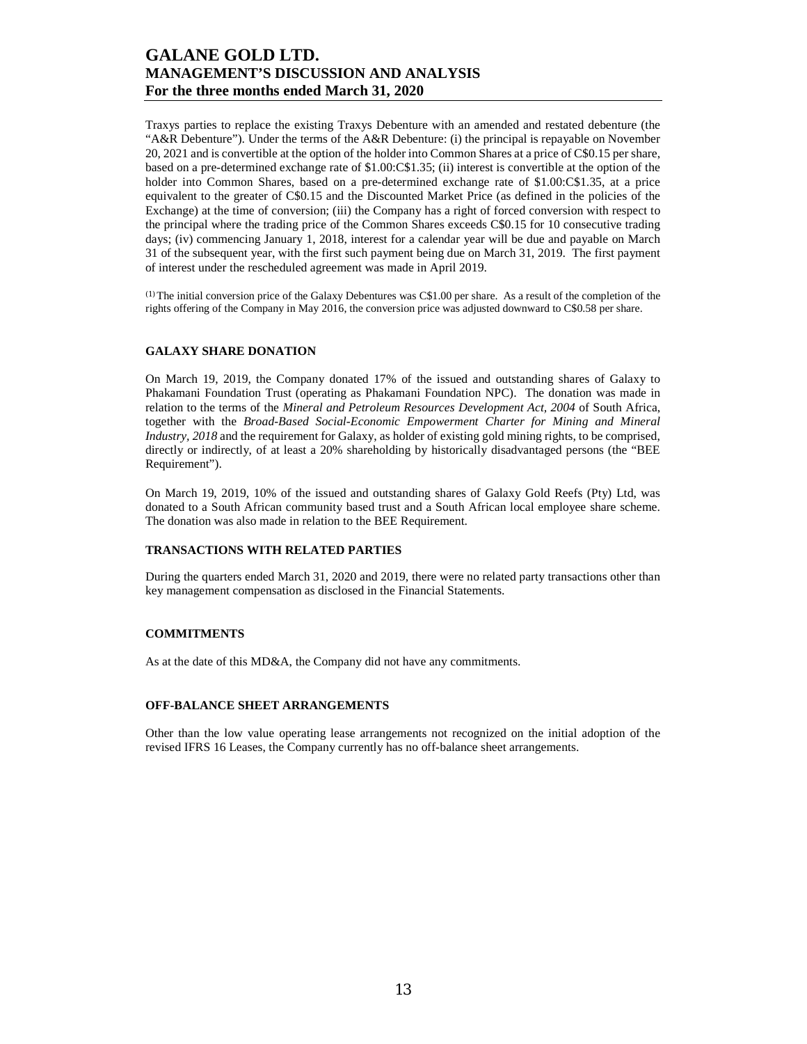Traxys parties to replace the existing Traxys Debenture with an amended and restated debenture (the "A&R Debenture"). Under the terms of the A&R Debenture: (i) the principal is repayable on November 20, 2021 and is convertible at the option of the holder into Common Shares at a price of C\$0.15 per share, based on a pre-determined exchange rate of \$1.00:C\$1.35; (ii) interest is convertible at the option of the holder into Common Shares, based on a pre-determined exchange rate of \$1.00:C\$1.35, at a price equivalent to the greater of C\$0.15 and the Discounted Market Price (as defined in the policies of the Exchange) at the time of conversion; (iii) the Company has a right of forced conversion with respect to the principal where the trading price of the Common Shares exceeds C\$0.15 for 10 consecutive trading days; (iv) commencing January 1, 2018, interest for a calendar year will be due and payable on March 31 of the subsequent year, with the first such payment being due on March 31, 2019. The first payment of interest under the rescheduled agreement was made in April 2019.

(1) The initial conversion price of the Galaxy Debentures was C\$1.00 per share. As a result of the completion of the rights offering of the Company in May 2016, the conversion price was adjusted downward to C\$0.58 per share.

### **GALAXY SHARE DONATION**

On March 19, 2019, the Company donated 17% of the issued and outstanding shares of Galaxy to Phakamani Foundation Trust (operating as Phakamani Foundation NPC). The donation was made in relation to the terms of the *Mineral and Petroleum Resources Development Act, 2004* of South Africa, together with the *Broad-Based Social-Economic Empowerment Charter for Mining and Mineral Industry, 2018* and the requirement for Galaxy, as holder of existing gold mining rights, to be comprised, directly or indirectly, of at least a 20% shareholding by historically disadvantaged persons (the "BEE Requirement").

On March 19, 2019, 10% of the issued and outstanding shares of Galaxy Gold Reefs (Pty) Ltd, was donated to a South African community based trust and a South African local employee share scheme. The donation was also made in relation to the BEE Requirement.

### **TRANSACTIONS WITH RELATED PARTIES**

During the quarters ended March 31, 2020 and 2019, there were no related party transactions other than key management compensation as disclosed in the Financial Statements.

#### **COMMITMENTS**

As at the date of this MD&A, the Company did not have any commitments.

#### **OFF-BALANCE SHEET ARRANGEMENTS**

Other than the low value operating lease arrangements not recognized on the initial adoption of the revised IFRS 16 Leases, the Company currently has no off-balance sheet arrangements.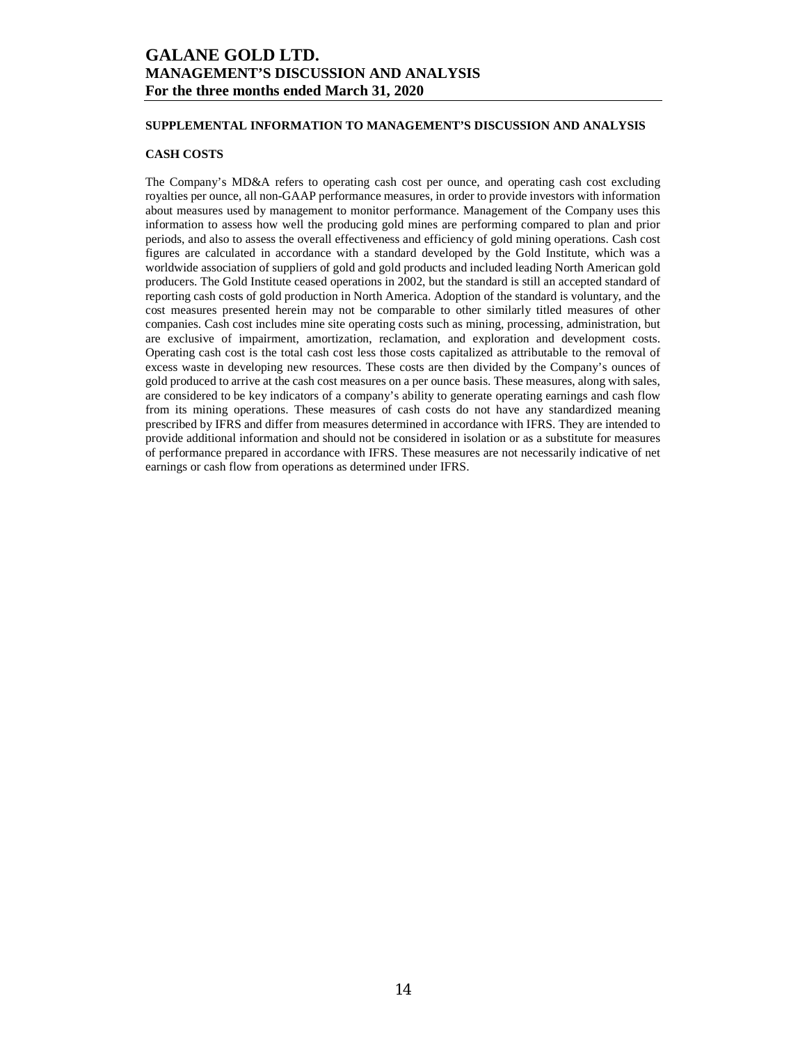### **SUPPLEMENTAL INFORMATION TO MANAGEMENT'S DISCUSSION AND ANALYSIS**

### **CASH COSTS**

The Company's MD&A refers to operating cash cost per ounce, and operating cash cost excluding royalties per ounce, all non-GAAP performance measures, in order to provide investors with information about measures used by management to monitor performance. Management of the Company uses this information to assess how well the producing gold mines are performing compared to plan and prior periods, and also to assess the overall effectiveness and efficiency of gold mining operations. Cash cost figures are calculated in accordance with a standard developed by the Gold Institute, which was a worldwide association of suppliers of gold and gold products and included leading North American gold producers. The Gold Institute ceased operations in 2002, but the standard is still an accepted standard of reporting cash costs of gold production in North America. Adoption of the standard is voluntary, and the cost measures presented herein may not be comparable to other similarly titled measures of other companies. Cash cost includes mine site operating costs such as mining, processing, administration, but are exclusive of impairment, amortization, reclamation, and exploration and development costs. Operating cash cost is the total cash cost less those costs capitalized as attributable to the removal of excess waste in developing new resources. These costs are then divided by the Company's ounces of gold produced to arrive at the cash cost measures on a per ounce basis. These measures, along with sales, are considered to be key indicators of a company's ability to generate operating earnings and cash flow from its mining operations. These measures of cash costs do not have any standardized meaning prescribed by IFRS and differ from measures determined in accordance with IFRS. They are intended to provide additional information and should not be considered in isolation or as a substitute for measures of performance prepared in accordance with IFRS. These measures are not necessarily indicative of net earnings or cash flow from operations as determined under IFRS.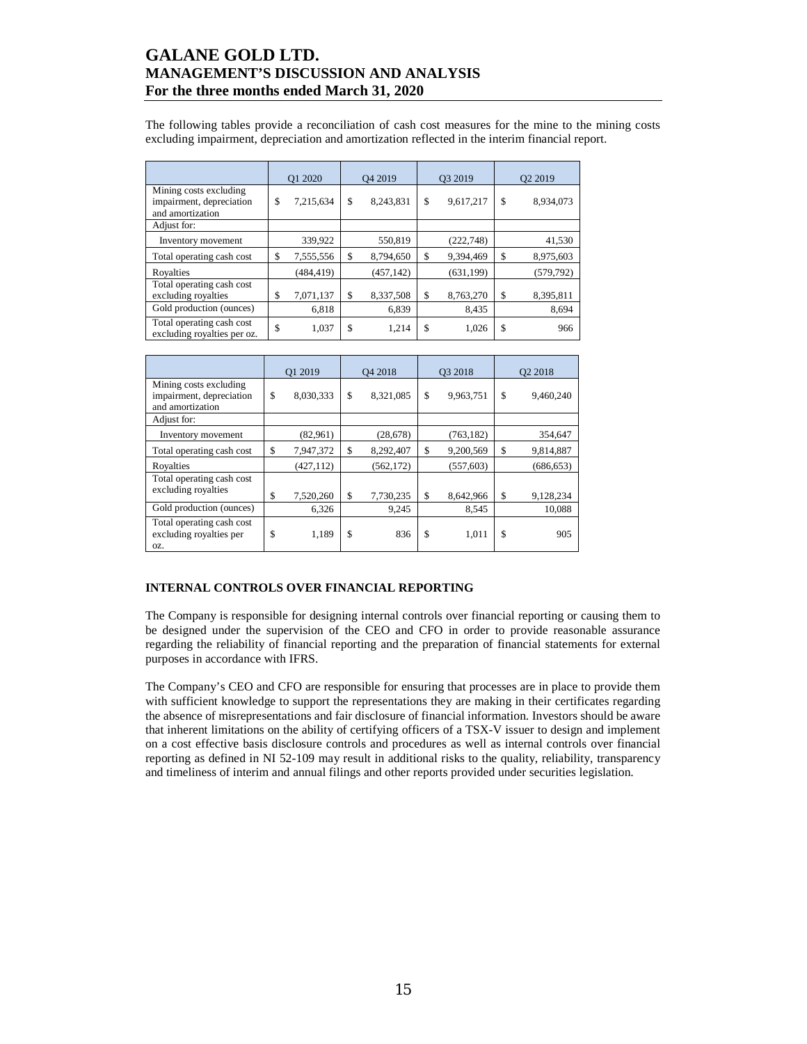The following tables provide a reconciliation of cash cost measures for the mine to the mining costs excluding impairment, depreciation and amortization reflected in the interim financial report.

|                                                                        | Q1 2020         | O <sub>4</sub> 2019 | O3 2019 |            | Q <sub>2</sub> 2019 |
|------------------------------------------------------------------------|-----------------|---------------------|---------|------------|---------------------|
| Mining costs excluding<br>impairment, depreciation<br>and amortization | \$<br>7,215,634 | \$<br>8,243,831     | \$      | 9,617,217  | \$<br>8,934,073     |
| Adjust for:                                                            |                 |                     |         |            |                     |
| Inventory movement                                                     | 339,922         | 550,819             |         | (222, 748) | 41,530              |
| Total operating cash cost                                              | \$<br>7,555,556 | \$<br>8,794,650     | \$      | 9,394,469  | \$<br>8,975,603     |
| Royalties                                                              | (484, 419)      | (457, 142)          |         | (631, 199) | (579, 792)          |
| Total operating cash cost<br>excluding royalties                       | \$<br>7,071,137 | \$<br>8,337,508     | \$      | 8,763,270  | \$<br>8,395,811     |
| Gold production (ounces)                                               | 6,818           | 6,839               |         | 8,435      | 8,694               |
| Total operating cash cost<br>excluding royalties per oz.               | \$<br>1,037     | \$<br>1,214         | \$      | 1,026      | \$<br>966           |

|                                                                        | Q1 2019         | O <sub>4</sub> 2018 | O3 2018 |            | Q2 2018         |
|------------------------------------------------------------------------|-----------------|---------------------|---------|------------|-----------------|
| Mining costs excluding<br>impairment, depreciation<br>and amortization | \$<br>8,030,333 | \$<br>8,321,085     | \$      | 9,963,751  | \$<br>9,460,240 |
| Adjust for:                                                            |                 |                     |         |            |                 |
| Inventory movement                                                     | (82,961)        | (28, 678)           |         | (763, 182) | 354,647         |
| Total operating cash cost                                              | \$<br>7,947,372 | \$<br>8,292,407     | \$      | 9,200,569  | \$<br>9,814,887 |
| Royalties                                                              | (427, 112)      | (562, 172)          |         | (557, 603) | (686, 653)      |
| Total operating cash cost<br>excluding royalties                       | \$<br>7,520,260 | \$<br>7,730,235     | \$      | 8,642,966  | \$<br>9,128,234 |
| Gold production (ounces)                                               | 6,326           | 9,245               |         | 8,545      | 10,088          |
| Total operating cash cost<br>excluding royalties per<br>OZ.            | \$<br>1,189     | \$<br>836           | \$      | 1,011      | \$<br>905       |

### **INTERNAL CONTROLS OVER FINANCIAL REPORTING**

The Company is responsible for designing internal controls over financial reporting or causing them to be designed under the supervision of the CEO and CFO in order to provide reasonable assurance regarding the reliability of financial reporting and the preparation of financial statements for external purposes in accordance with IFRS.

The Company's CEO and CFO are responsible for ensuring that processes are in place to provide them with sufficient knowledge to support the representations they are making in their certificates regarding the absence of misrepresentations and fair disclosure of financial information. Investors should be aware that inherent limitations on the ability of certifying officers of a TSX-V issuer to design and implement on a cost effective basis disclosure controls and procedures as well as internal controls over financial reporting as defined in NI 52-109 may result in additional risks to the quality, reliability, transparency and timeliness of interim and annual filings and other reports provided under securities legislation.